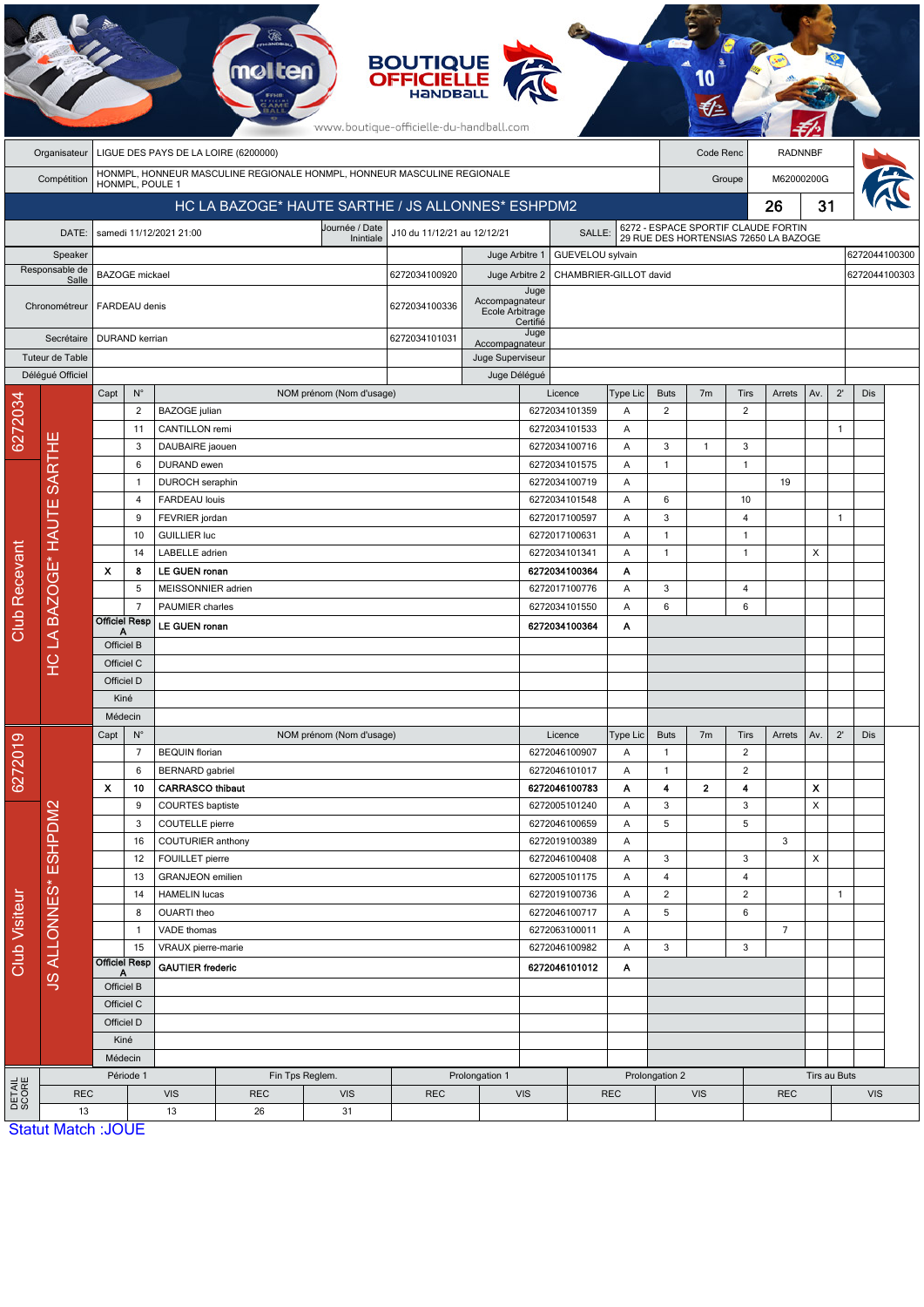|                        |                                                                      |                           |                                                  |                                       |                                                                         |                          | <b>BOUTIQUE</b><br><b>OFFICIELLE</b><br>HaNDBal<br>www.boutique-officielle-du-handball.com |                                   |                        |                                |                                                                              |                                      |                |                   |                |     |               |     |  |
|------------------------|----------------------------------------------------------------------|---------------------------|--------------------------------------------------|---------------------------------------|-------------------------------------------------------------------------|--------------------------|--------------------------------------------------------------------------------------------|-----------------------------------|------------------------|--------------------------------|------------------------------------------------------------------------------|--------------------------------------|----------------|-------------------|----------------|-----|---------------|-----|--|
|                        | Organisateur                                                         |                           |                                                  |                                       | LIGUE DES PAYS DE LA LOIRE (6200000)                                    |                          |                                                                                            |                                   |                        |                                |                                                                              |                                      | Code Renc      |                   | <b>RADNNBF</b> |     |               |     |  |
|                        | Compétition                                                          |                           |                                                  |                                       | HONMPL, HONNEUR MASCULINE REGIONALE HONMPL, HONNEUR MASCULINE REGIONALE |                          |                                                                                            |                                   |                        |                                | M62000200G<br>Groupe                                                         |                                      |                |                   |                |     |               |     |  |
|                        | HONMPL, POULE 1<br>HC LA BAZOGE* HAUTE SARTHE / JS ALLONNES* ESHPDM2 |                           |                                                  |                                       |                                                                         |                          |                                                                                            |                                   |                        |                                |                                                                              |                                      |                |                   | 26             | 31  |               |     |  |
|                        | Journée / Date<br>DATE:<br>samedi 11/12/2021 21:00<br>Inintiale      |                           |                                                  |                                       |                                                                         |                          | J10 du 11/12/21 au 12/12/21<br>SALLE:                                                      |                                   |                        |                                | 6272 - ESPACE SPORTIF CLAUDE FORTIN<br>29 RUE DES HORTENSIAS 72650 LA BAZOGE |                                      |                |                   |                |     |               |     |  |
|                        | Speaker                                                              |                           |                                                  |                                       |                                                                         |                          |                                                                                            | Juge Arbitre 1                    |                        | GUEVELOU sylvain               |                                                                              |                                      |                |                   |                |     | 6272044100300 |     |  |
|                        | Responsable de<br>Salle                                              | <b>BAZOGE</b> mickael     |                                                  |                                       |                                                                         |                          | 6272034100920                                                                              | Juge Arbitre 2                    | CHAMBRIER-GILLOT david |                                |                                                                              |                                      |                |                   |                |     | 6272044100303 |     |  |
|                        | Chronométreur                                                        | FARDEAU denis             |                                                  |                                       |                                                                         |                          | 6272034100336                                                                              | Accompagnateur<br>Ecole Arbitrage | Juge<br>Certifié       |                                |                                                                              |                                      |                |                   |                |     |               |     |  |
|                        | Secrétaire<br>Tuteur de Table                                        |                           | <b>DURAND</b> kerrian                            |                                       |                                                                         | 6272034101031            | Accompagnateur<br>Juge Superviseur                                                         | Juge                              |                        |                                |                                                                              |                                      |                |                   |                |     |               |     |  |
|                        | Délégué Officiel                                                     |                           |                                                  |                                       |                                                                         |                          | Juge Délégué                                                                               |                                   |                        |                                |                                                                              |                                      |                |                   |                |     |               |     |  |
|                        |                                                                      | Capt                      | $N^{\circ}$                                      |                                       |                                                                         | NOM prénom (Nom d'usage) |                                                                                            |                                   |                        | Licence                        | Type Lic                                                                     | <b>Buts</b>                          | 7 <sub>m</sub> | Tirs              | Arrets         | Av. | $2^{\prime}$  | Dis |  |
| 6272034                |                                                                      |                           | $\overline{2}$                                   | <b>BAZOGE</b> julian                  |                                                                         |                          |                                                                                            |                                   |                        | 6272034101359                  | Α                                                                            | 2                                    |                | $\overline{2}$    |                |     |               |     |  |
|                        |                                                                      |                           | 11                                               | CANTILLON remi                        |                                                                         |                          |                                                                                            |                                   |                        | 6272034101533                  | A                                                                            |                                      |                |                   |                |     | $\mathbf{1}$  |     |  |
|                        |                                                                      |                           | 3                                                | DAUBAIRE jaouen                       |                                                                         |                          |                                                                                            |                                   |                        | 6272034100716                  | Α                                                                            | $\sqrt{3}$                           | $\mathbf{1}$   | 3                 |                |     |               |     |  |
|                        |                                                                      |                           | 6                                                | DURAND ewen                           |                                                                         |                          |                                                                                            |                                   |                        | 6272034101575                  | Α                                                                            | $\mathbf{1}$                         |                | $\mathbf{1}$      |                |     |               |     |  |
|                        |                                                                      |                           | 1                                                | DUROCH seraphin                       |                                                                         |                          |                                                                                            |                                   |                        | 6272034100719                  | Α                                                                            |                                      |                |                   | 19             |     |               |     |  |
|                        |                                                                      |                           | 4                                                |                                       | <b>FARDEAU</b> louis                                                    |                          |                                                                                            |                                   |                        | 6272034101548<br>Α             |                                                                              | 6                                    |                | 10                |                |     |               |     |  |
|                        |                                                                      |                           | 9<br>10                                          | FEVRIER jordan<br><b>GUILLIER luc</b> |                                                                         |                          |                                                                                            |                                   |                        | 6272017100597<br>6272017100631 | Α                                                                            | 3<br>$\mathbf{1}$                    |                | 4<br>$\mathbf{1}$ |                |     | $\mathbf{1}$  |     |  |
|                        |                                                                      |                           | 14                                               | LABELLE adrien                        |                                                                         |                          |                                                                                            |                                   |                        | 6272034101341                  | Α<br>Α                                                                       | 1                                    |                | $\mathbf{1}$      |                | X   |               |     |  |
|                        |                                                                      | $\boldsymbol{\mathsf{x}}$ | 8                                                | LE GUEN ronan                         |                                                                         |                          |                                                                                            |                                   |                        | 6272034100364                  | Α                                                                            |                                      |                |                   |                |     |               |     |  |
|                        |                                                                      |                           | 5                                                | MEISSONNIER adrien                    |                                                                         |                          |                                                                                            |                                   |                        | 6272017100776                  | A                                                                            | 3                                    |                | 4                 |                |     |               |     |  |
| <b>Club Recevant</b>   |                                                                      |                           | $\overline{7}$                                   | PAUMIER charles                       |                                                                         |                          |                                                                                            |                                   |                        | 6272034101550                  | Α                                                                            | 6                                    |                | 6                 |                |     |               |     |  |
|                        | HC LA BAZOGE* HAUTE SARTHE                                           | <b>Officiel Resp</b><br>A |                                                  | LE GUEN ronan                         |                                                                         |                          |                                                                                            |                                   |                        | 6272034100364                  | Α                                                                            |                                      |                |                   |                |     |               |     |  |
|                        |                                                                      | Officiel B                |                                                  |                                       |                                                                         |                          |                                                                                            |                                   |                        |                                |                                                                              |                                      |                |                   |                |     |               |     |  |
|                        |                                                                      | Officiel C                |                                                  |                                       |                                                                         |                          |                                                                                            |                                   |                        |                                |                                                                              |                                      |                |                   |                |     |               |     |  |
|                        |                                                                      | Officiel D                |                                                  |                                       |                                                                         |                          |                                                                                            |                                   |                        |                                |                                                                              |                                      |                |                   |                |     |               |     |  |
|                        |                                                                      | Kiné                      |                                                  |                                       |                                                                         |                          |                                                                                            |                                   |                        |                                |                                                                              |                                      |                |                   |                |     |               |     |  |
|                        |                                                                      | Médecin                   |                                                  |                                       |                                                                         |                          |                                                                                            |                                   |                        |                                |                                                                              |                                      |                |                   |                |     |               |     |  |
| စ                      |                                                                      | Capt                      | $N^{\circ}$                                      |                                       |                                                                         | NOM prénom (Nom d'usage) |                                                                                            |                                   |                        | Licence                        | Type Lic                                                                     | <b>Buts</b>                          | 7 <sub>m</sub> | Tirs              | Arrets         | Av. | $2^{\prime}$  | Dis |  |
| 627201                 |                                                                      |                           | $\overline{7}$                                   | <b>BEQUIN</b> florian                 |                                                                         |                          |                                                                                            |                                   | 6272046100907          | Α                              | $\mathbf{1}$                                                                 |                                      | $\overline{2}$ |                   |                |     |               |     |  |
|                        |                                                                      |                           | 6<br>10                                          | <b>BERNARD</b> gabriel                |                                                                         |                          |                                                                                            |                                   |                        | 6272046101017                  | Α                                                                            | $\mathbf{1}$<br>$\blacktriangleleft$ |                | $\overline{2}$    |                |     |               |     |  |
|                        |                                                                      | $\boldsymbol{\mathsf{x}}$ | <b>CARRASCO thibaut</b><br>9<br>COURTES baptiste |                                       |                                                                         |                          | 6272046100783<br>6272005101240                                                             | A<br>Α                            | 3                      | $\mathbf{2}$                   | 4<br>3                                                                       |                                      | X<br>X         |                   |                |     |               |     |  |
|                        |                                                                      |                           | 3                                                | COUTELLE pierre                       |                                                                         |                          |                                                                                            |                                   |                        | 6272046100659                  | Α                                                                            | 5                                    |                | 5                 |                |     |               |     |  |
|                        |                                                                      |                           | 16                                               |                                       | COUTURIER anthony                                                       |                          |                                                                                            |                                   |                        | 6272019100389                  | Α                                                                            |                                      |                |                   | 3              |     |               |     |  |
| Club Visiteur          | <b>JS ALLONNES* ESHPDM2</b>                                          | 12<br>13                  |                                                  | FOUILLET pierre                       |                                                                         |                          |                                                                                            |                                   |                        | 6272046100408                  | Α                                                                            | 3                                    |                | 3                 |                | X   |               |     |  |
|                        |                                                                      |                           |                                                  | <b>GRANJEON</b> emilien               |                                                                         |                          |                                                                                            |                                   |                        | 6272005101175                  | A                                                                            | $\overline{4}$                       |                | 4                 |                |     |               |     |  |
|                        |                                                                      |                           | 14                                               | <b>HAMELIN</b> lucas                  |                                                                         |                          |                                                                                            |                                   |                        | 6272019100736                  | Α                                                                            | $\overline{2}$                       |                | $\overline{2}$    |                |     | $\mathbf{1}$  |     |  |
|                        |                                                                      |                           | 8                                                | OUARTI theo                           |                                                                         |                          |                                                                                            |                                   |                        | 6272046100717                  | Α                                                                            | $\sqrt{5}$                           |                | 6                 |                |     |               |     |  |
|                        |                                                                      |                           | $\mathbf{1}$                                     | VADE thomas                           |                                                                         |                          |                                                                                            |                                   |                        | 6272063100011                  | A                                                                            |                                      |                |                   | $\overline{7}$ |     |               |     |  |
|                        |                                                                      |                           | 15                                               | VRAUX pierre-marie                    |                                                                         |                          |                                                                                            | 6272046100982                     |                        | Α                              | $\mathbf{3}$                                                                 |                                      |                | 3                 |                |     |               |     |  |
|                        |                                                                      | <b>Officiel Resp</b>      |                                                  | <b>GAUTIER</b> frederic               |                                                                         |                          | 6272046101012<br>A                                                                         |                                   |                        |                                |                                                                              |                                      |                |                   |                |     |               |     |  |
|                        |                                                                      | Officiel B<br>Officiel C  |                                                  |                                       |                                                                         |                          |                                                                                            |                                   |                        |                                |                                                                              |                                      |                |                   |                |     |               |     |  |
|                        |                                                                      |                           |                                                  |                                       |                                                                         |                          |                                                                                            |                                   |                        |                                |                                                                              |                                      |                |                   |                |     |               |     |  |
|                        |                                                                      | Officiel D<br>Kiné        |                                                  |                                       |                                                                         |                          |                                                                                            |                                   |                        |                                |                                                                              |                                      |                |                   |                |     |               |     |  |
|                        |                                                                      |                           | Médecin                                          |                                       |                                                                         |                          |                                                                                            |                                   |                        |                                |                                                                              |                                      |                |                   |                |     |               |     |  |
|                        |                                                                      |                           | Période 1                                        |                                       | Fin Tps Reglem.<br>Prolongation 1                                       |                          |                                                                                            |                                   |                        |                                |                                                                              | Prolongation 2                       |                |                   |                |     | Tirs au Buts  |     |  |
| <b>DETAIL</b><br>SCORE | <b>REC</b>                                                           |                           |                                                  | <b>VIS</b>                            | <b>REC</b>                                                              | <b>VIS</b>               | <b>REC</b>                                                                                 |                                   |                        | <b>VIS</b><br><b>REC</b>       |                                                                              | <b>VIS</b>                           |                |                   | <b>REC</b>     |     | <b>VIS</b>    |     |  |
|                        | 13                                                                   | <b>Statut Match: JOUE</b> |                                                  | 13<br>26<br>31                        |                                                                         |                          |                                                                                            |                                   |                        |                                |                                                                              |                                      |                |                   |                |     |               |     |  |